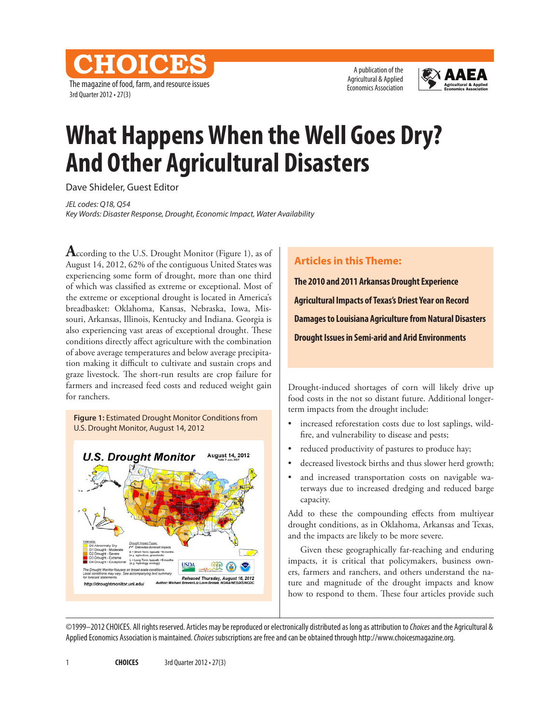The magazine of food, farm, and resource issues 3rd Quarter 2012 • 27(3)

A publication of the Agricultural & Applied Economics Association



## **What Happens When the Well Goes Dry? And Other Agricultural Disasters**

Dave Shideler, Guest Editor

**CHOICE** 

*JEL codes: Q18, Q54 Key Words: Disaster Response, Drought, Economic Impact, Water Availability* 

**A**ccording to the U.S. Drought Monitor (Figure 1), as of August 14, 2012, 62% of the contiguous United States was experiencing some form of drought, more than one third of which was classified as extreme or exceptional. Most of the extreme or exceptional drought is located in America's breadbasket: Oklahoma, Kansas, Nebraska, Iowa, Missouri, Arkansas, Illinois, Kentucky and Indiana. Georgia is also experiencing vast areas of exceptional drought. These conditions directly affect agriculture with the combination of above average temperatures and below average precipitation making it difficult to cultivate and sustain crops and graze livestock. The short-run results are crop failure for farmers and increased feed costs and reduced weight gain for ranchers.

**Figure 1:** Estimated Drought Monitor Conditions from U.S. Drought Monitor, August 14, 2012



## **Articles in this Theme:**

**The 2010 and 2011 Arkansas Drought Experience Agricultural Impacts of Texas's Driest Year on Record Damages to Louisiana Agriculture from Natural Disasters Drought Issues in Semi-arid and Arid Environments**

Drought-induced shortages of corn will likely drive up food costs in the not so distant future. Additional longerterm impacts from the drought include:

- increased reforestation costs due to lost saplings, wildfire, and vulnerability to disease and pests;
- reduced productivity of pastures to produce hay;
- decreased livestock births and thus slower herd growth;
- and increased transportation costs on navigable waterways due to increased dredging and reduced barge capacity.

Add to these the compounding effects from multiyear drought conditions, as in Oklahoma, Arkansas and Texas, and the impacts are likely to be more severe.

Given these geographically far-reaching and enduring impacts, it is critical that policymakers, business owners, farmers and ranchers, and others understand the nature and magnitude of the drought impacts and know how to respond to them. These four articles provide such

©1999–2012 CHOICES. All rights reserved. Articles may be reproduced or electronically distributed as long as attribution to *Choices* and the Agricultural & Applied Economics Association is maintained. *Choices* subscriptions are free and can be obtained through http://www.choicesmagazine.org.